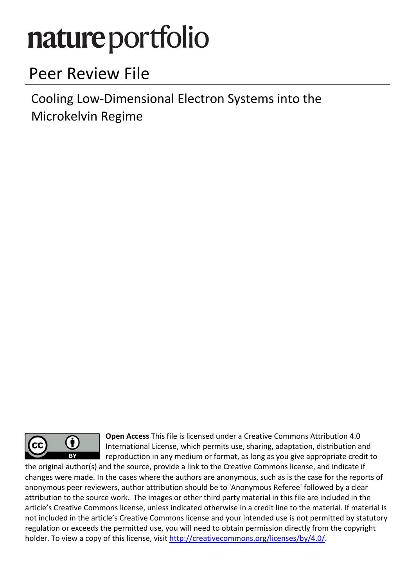# nature portfolio

# Peer Review File

Cooling Low-Dimensional Electron Systems into the Microkelvin Regime



Open Access This file is licensed under a Creative Commons Attribution 4.0 International License, which permits use, sharing, adaptation, distribution and reproduction in any medium or format, as long as you give appropriate credit to

the original author(s) and the source, provide a link to the Creative Commons license, and indicate if changes were made. In the cases where the authors are anonymous, such as is the case for the reports of anonymous peer reviewers, author attribution should be to 'Anonymous Referee' followed by a clear attribution to the source work. The images or other third party material in this file are included in the article's Creative Commons license, unless indicated otherwise in a credit line to the material. If material is not included in the article's Creative Commons license and your intended use is not permitted by statutory regulation or exceeds the permitted use, you will need to obtain permission directly from the copyright holder. To view a copy of this license, visit http://creativecommons.org/licenses/by/4.0/.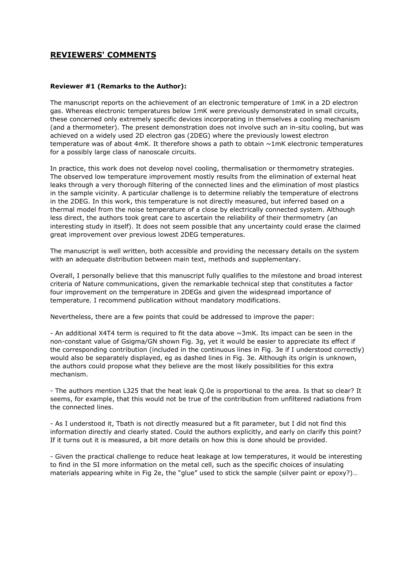# **REVIEWERS' COMMENTS**

#### **Reviewer #1 (Remarks to the Author):**

The manuscript reports on the achievement of an electronic temperature of 1mK in a 2D electron gas. Whereas electronic temperatures below 1mK were previously demonstrated in small circuits, these concerned only extremely specific devices incorporating in themselves a cooling mechanism (and a thermometer). The present demonstration does not involve such an in-situ cooling, but was achieved on a widely used 2D electron gas (2DEG) where the previously lowest electron temperature was of about 4mK. It therefore shows a path to obtain  $\sim$ 1mK electronic temperatures for a possibly large class of nanoscale circuits.

In practice, this work does not develop novel cooling, thermalisation or thermometry strategies. The observed low temperature improvement mostly results from the elimination of external heat leaks through a very thorough filtering of the connected lines and the elimination of most plastics in the sample vicinity. A particular challenge is to determine reliably the temperature of electrons in the 2DEG. In this work, this temperature is not directly measured, but inferred based on a thermal model from the noise temperature of a close by electrically connected system. Although less direct, the authors took great care to ascertain the reliability of their thermometry (an interesting study in itself). It does not seem possible that any uncertainty could erase the claimed great improvement over previous lowest 2DEG temperatures.

The manuscript is well written, both accessible and providing the necessary details on the system with an adequate distribution between main text, methods and supplementary.

Overall, I personally believe that this manuscript fully qualifies to the milestone and broad interest criteria of Nature communications, given the remarkable technical step that constitutes a factor four improvement on the temperature in 2DEGs and given the widespread importance of temperature. I recommend publication without mandatory modifications.

Nevertheless, there are a few points that could be addressed to improve the paper:

- An additional X4T4 term is required to fit the data above  $\sim$ 3mK. Its impact can be seen in the non-constant value of Gsigma/GN shown Fig. 3g, yet it would be easier to appreciate its effect if the corresponding contribution (included in the continuous lines in Fig. 3e if I understood correctly) would also be separately displayed, eg as dashed lines in Fig. 3e. Although its origin is unknown, the authors could propose what they believe are the most likely possibilities for this extra mechanism.

- The authors mention L325 that the heat leak Q.0e is proportional to the area. Is that so clear? It seems, for example, that this would not be true of the contribution from unfiltered radiations from the connected lines.

- As I understood it, Tbath is not directly measured but a fit parameter, but I did not find this information directly and clearly stated. Could the authors explicitly, and early on clarify this point? If it turns out it is measured, a bit more details on how this is done should be provided.

- Given the practical challenge to reduce heat leakage at low temperatures, it would be interesting to find in the SI more information on the metal cell, such as the specific choices of insulating materials appearing white in Fig 2e, the "glue" used to stick the sample (silver paint or epoxy?)…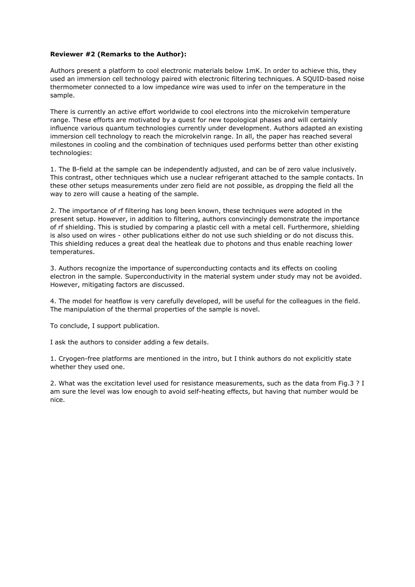#### **Reviewer #2 (Remarks to the Author):**

Authors present a platform to cool electronic materials below 1mK. In order to achieve this, they used an immersion cell technology paired with electronic filtering techniques. A SQUID-based noise thermometer connected to a low impedance wire was used to infer on the temperature in the sample.

There is currently an active effort worldwide to cool electrons into the microkelvin temperature range. These efforts are motivated by a quest for new topological phases and will certainly influence various quantum technologies currently under development. Authors adapted an existing immersion cell technology to reach the microkelvin range. In all, the paper has reached several milestones in cooling and the combination of techniques used performs better than other existing technologies:

1. The B-field at the sample can be independently adjusted, and can be of zero value inclusively. This contrast, other techniques which use a nuclear refrigerant attached to the sample contacts. In these other setups measurements under zero field are not possible, as dropping the field all the way to zero will cause a heating of the sample.

2. The importance of rf filtering has long been known, these techniques were adopted in the present setup. However, in addition to filtering, authors convincingly demonstrate the importance of rf shielding. This is studied by comparing a plastic cell with a metal cell. Furthermore, shielding is also used on wires - other publications either do not use such shielding or do not discuss this. This shielding reduces a great deal the heatleak due to photons and thus enable reaching lower temperatures.

3. Authors recognize the importance of superconducting contacts and its effects on cooling electron in the sample. Superconductivity in the material system under study may not be avoided. However, mitigating factors are discussed.

4. The model for heatflow is very carefully developed, will be useful for the colleagues in the field. The manipulation of the thermal properties of the sample is novel.

To conclude, I support publication.

I ask the authors to consider adding a few details.

1. Cryogen-free platforms are mentioned in the intro, but I think authors do not explicitly state whether they used one.

2. What was the excitation level used for resistance measurements, such as the data from Fig.3 ? I am sure the level was low enough to avoid self-heating effects, but having that number would be nice.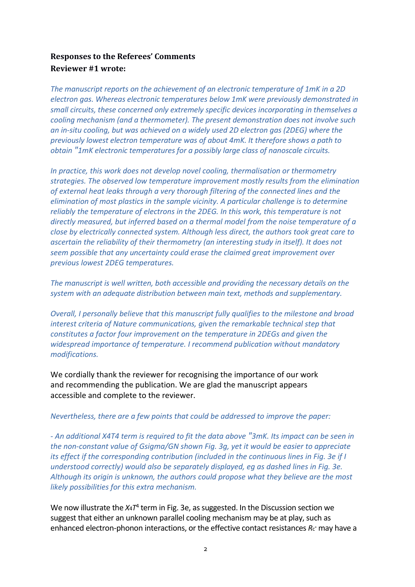# **Responses to the Referees' Comments Reviewer #1 wrote:**

*The manuscript reports on the achievement of an electronic temperature of 1mK in a 2D electron gas. Whereas electronic temperatures below 1mK were previously demonstrated in small circuits, these concerned only extremely specific devices incorporating in themselves a cooling mechanism (and a thermometer). The present demonstration does not involve such an in-situ cooling, but was achieved on a widely used 2D electron gas (2DEG) where the previously lowest electron temperature was of about 4mK. It therefore shows a path to obtain "1mK electronic temperatures for a possibly large class of nanoscale circuits.* 

*In practice, this work does not develop novel cooling, thermalisation or thermometry strategies. The observed low temperature improvement mostly results from the elimination of external heat leaks through a very thorough filtering of the connected lines and the elimination of most plastics in the sample vicinity. A particular challenge is to determine reliably the temperature of electrons in the 2DEG. In this work, this temperature is not directly measured, but inferred based on a thermal model from the noise temperature of a close by electrically connected system. Although less direct, the authors took great care to ascertain the reliability of their thermometry (an interesting study in itself). It does not seem possible that any uncertainty could erase the claimed great improvement over previous lowest 2DEG temperatures.* 

*The manuscript is well written, both accessible and providing the necessary details on the system with an adequate distribution between main text, methods and supplementary.* 

*Overall, I personally believe that this manuscript fully qualifies to the milestone and broad interest criteria of Nature communications, given the remarkable technical step that constitutes a factor four improvement on the temperature in 2DEGs and given the widespread importance of temperature. I recommend publication without mandatory modifications.* 

We cordially thank the reviewer for recognising the importance of our work and recommending the publication. We are glad the manuscript appears accessible and complete to the reviewer.

*Nevertheless, there are a few points that could be addressed to improve the paper:* 

*- An additional X4T4 term is required to fit the data above "3mK. Its impact can be seen in the non-constant value of Gsigma/GN shown Fig. 3g, yet it would be easier to appreciate its effect if the corresponding contribution (included in the continuous lines in Fig. 3e if I understood correctly) would also be separately displayed, eg as dashed lines in Fig. 3e. Although its origin is unknown, the authors could propose what they believe are the most likely possibilities for this extra mechanism.* 

We now illustrate the X<sub>4</sub>T<sup>4</sup> term in Fig. 3e, as suggested. In the Discussion section we suggest that either an unknown parallel cooling mechanism may be at play, such as enhanced electron-phonon interactions, or the effective contact resistances R<sub>c<sup>\*</sup></sub> may have a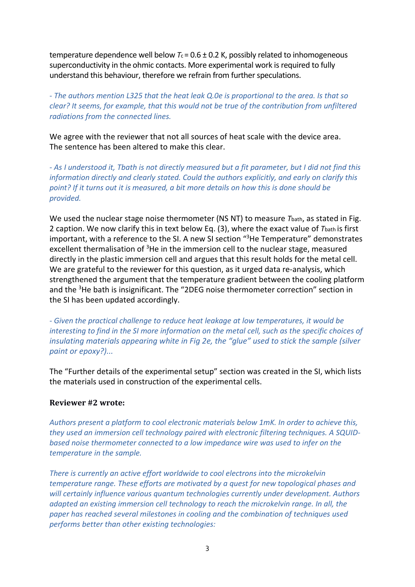temperature dependence well below  $T_c = 0.6 \pm 0.2$  K, possibly related to inhomogeneous superconductivity in the ohmic contacts. More experimental work is required to fully understand this behaviour, therefore we refrain from further speculations.

*- The authors mention L325 that the heat leak Q.0e is proportional to the area. Is that so clear? It seems, for example, that this would not be true of the contribution from unfiltered radiations from the connected lines.* 

We agree with the reviewer that not all sources of heat scale with the device area. The sentence has been altered to make this clear.

*- As I understood it, Tbath is not directly measured but a fit parameter, but I did not find this information directly and clearly stated. Could the authors explicitly, and early on clarify this point? If it turns out it is measured, a bit more details on how this is done should be provided.* 

We used the nuclear stage noise thermometer (NS NT) to measure *T*bath, as stated in Fig. 2 caption. We now clarify this in text below Eq. (3), where the exact value of *T*bath is first important, with a reference to the SI. A new SI section "<sup>3</sup>He Temperature" demonstrates excellent thermalisation of  $3$ He in the immersion cell to the nuclear stage, measured directly in the plastic immersion cell and argues that this result holds for the metal cell. We are grateful to the reviewer for this question, as it urged data re-analysis, which strengthened the argument that the temperature gradient between the cooling platform and the <sup>3</sup>He bath is insignificant. The "2DEG noise thermometer correction" section in the SI has been updated accordingly.

*- Given the practical challenge to reduce heat leakage at low temperatures, it would be interesting to find in the SI more information on the metal cell, such as the specific choices of insulating materials appearing white in Fig 2e, the "glue" used to stick the sample (silver paint or epoxy?)...*

The "Further details of the experimental setup" section was created in the SI, which lists the materials used in construction of the experimental cells.

## **Reviewer #2 wrote:**

*Authors present a platform to cool electronic materials below 1mK. In order to achieve this, they used an immersion cell technology paired with electronic filtering techniques. A SQUIDbased noise thermometer connected to a low impedance wire was used to infer on the temperature in the sample.* 

*There is currently an active effort worldwide to cool electrons into the microkelvin temperature range. These efforts are motivated by a quest for new topological phases and will certainly influence various quantum technologies currently under development. Authors adapted an existing immersion cell technology to reach the microkelvin range. In all, the paper has reached several milestones in cooling and the combination of techniques used performs better than other existing technologies:*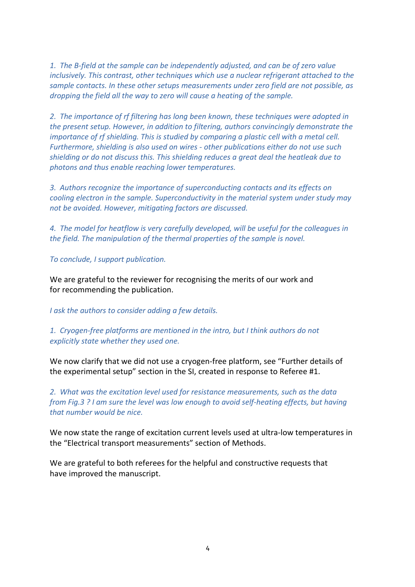*1. The B-field at the sample can be independently adjusted, and can be of zero value inclusively. This contrast, other techniques which use a nuclear refrigerant attached to the sample contacts. In these other setups measurements under zero field are not possible, as dropping the field all the way to zero will cause a heating of the sample.* 

*2. The importance of rf filtering has long been known, these techniques were adopted in the present setup. However, in addition to filtering, authors convincingly demonstrate the importance of rf shielding. This is studied by comparing a plastic cell with a metal cell. Furthermore, shielding is also used on wires - other publications either do not use such shielding or do not discuss this. This shielding reduces a great deal the heatleak due to photons and thus enable reaching lower temperatures.* 

*3. Authors recognize the importance of superconducting contacts and its effects on cooling electron in the sample. Superconductivity in the material system under study may not be avoided. However, mitigating factors are discussed.* 

*4. The model for heatflow is very carefully developed, will be useful for the colleagues in the field. The manipulation of the thermal properties of the sample is novel.* 

*To conclude, I support publication.* 

We are grateful to the reviewer for recognising the merits of our work and for recommending the publication.

*I ask the authors to consider adding a few details.* 

*1. Cryogen-free platforms are mentioned in the intro, but I think authors do not explicitly state whether they used one.* 

We now clarify that we did not use a cryogen-free platform, see "Further details of the experimental setup" section in the SI, created in response to Referee #1.

*2. What was the excitation level used for resistance measurements, such as the data from Fig.3 ? I am sure the level was low enough to avoid self-heating effects, but having that number would be nice.* 

We now state the range of excitation current levels used at ultra-low temperatures in the "Electrical transport measurements" section of Methods.

We are grateful to both referees for the helpful and constructive requests that have improved the manuscript.